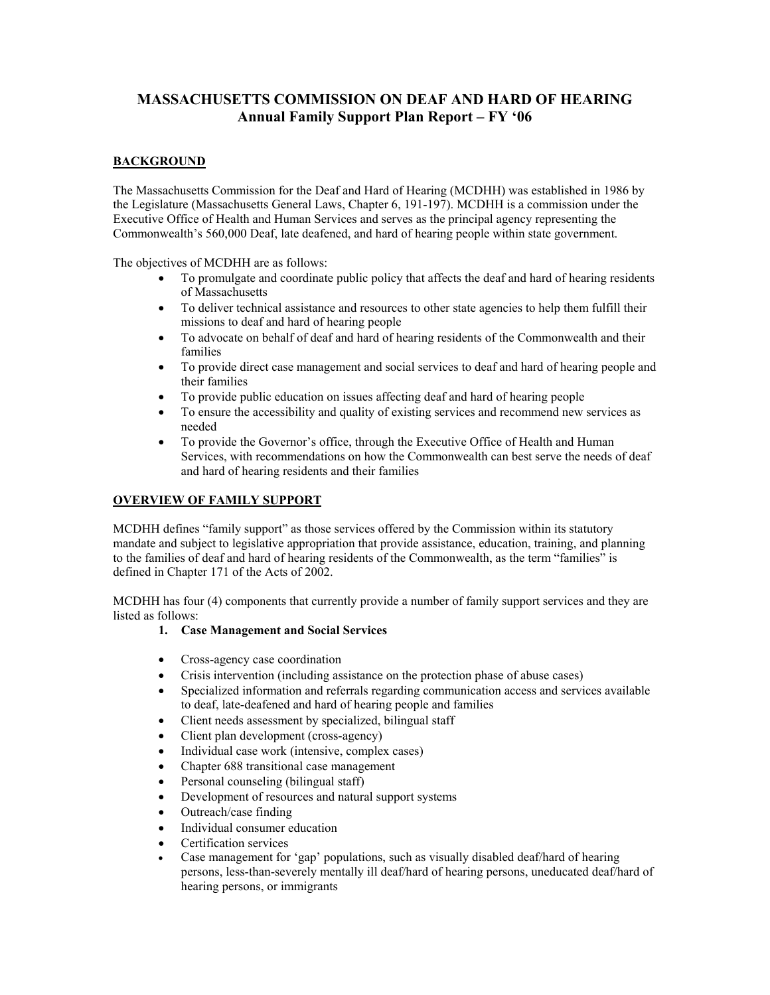# **MASSACHUSETTS COMMISSION ON DEAF AND HARD OF HEARING Annual Family Support Plan Report – FY '06**

# **BACKGROUND**

The Massachusetts Commission for the Deaf and Hard of Hearing (MCDHH) was established in 1986 by the Legislature (Massachusetts General Laws, Chapter 6, 191-197). MCDHH is a commission under the Executive Office of Health and Human Services and serves as the principal agency representing the Commonwealth's 560,000 Deaf, late deafened, and hard of hearing people within state government.

The objectives of MCDHH are as follows:

- To promulgate and coordinate public policy that affects the deaf and hard of hearing residents of Massachusetts
- To deliver technical assistance and resources to other state agencies to help them fulfill their missions to deaf and hard of hearing people
- To advocate on behalf of deaf and hard of hearing residents of the Commonwealth and their families
- To provide direct case management and social services to deaf and hard of hearing people and their families
- To provide public education on issues affecting deaf and hard of hearing people
- To ensure the accessibility and quality of existing services and recommend new services as needed
- To provide the Governor's office, through the Executive Office of Health and Human Services, with recommendations on how the Commonwealth can best serve the needs of deaf and hard of hearing residents and their families

# **OVERVIEW OF FAMILY SUPPORT**

MCDHH defines "family support" as those services offered by the Commission within its statutory mandate and subject to legislative appropriation that provide assistance, education, training, and planning to the families of deaf and hard of hearing residents of the Commonwealth, as the term "families" is defined in Chapter 171 of the Acts of 2002.

MCDHH has four (4) components that currently provide a number of family support services and they are listed as follows:

## **1. Case Management and Social Services**

- Cross-agency case coordination
- Crisis intervention (including assistance on the protection phase of abuse cases)
- Specialized information and referrals regarding communication access and services available to deaf, late-deafened and hard of hearing people and families
- Client needs assessment by specialized, bilingual staff
- Client plan development (cross-agency)
- Individual case work (intensive, complex cases)
- Chapter 688 transitional case management
- Personal counseling (bilingual staff)
- Development of resources and natural support systems
- Outreach/case finding
- Individual consumer education
- Certification services
- Case management for 'gap' populations, such as visually disabled deaf/hard of hearing persons, less-than-severely mentally ill deaf/hard of hearing persons, uneducated deaf/hard of hearing persons, or immigrants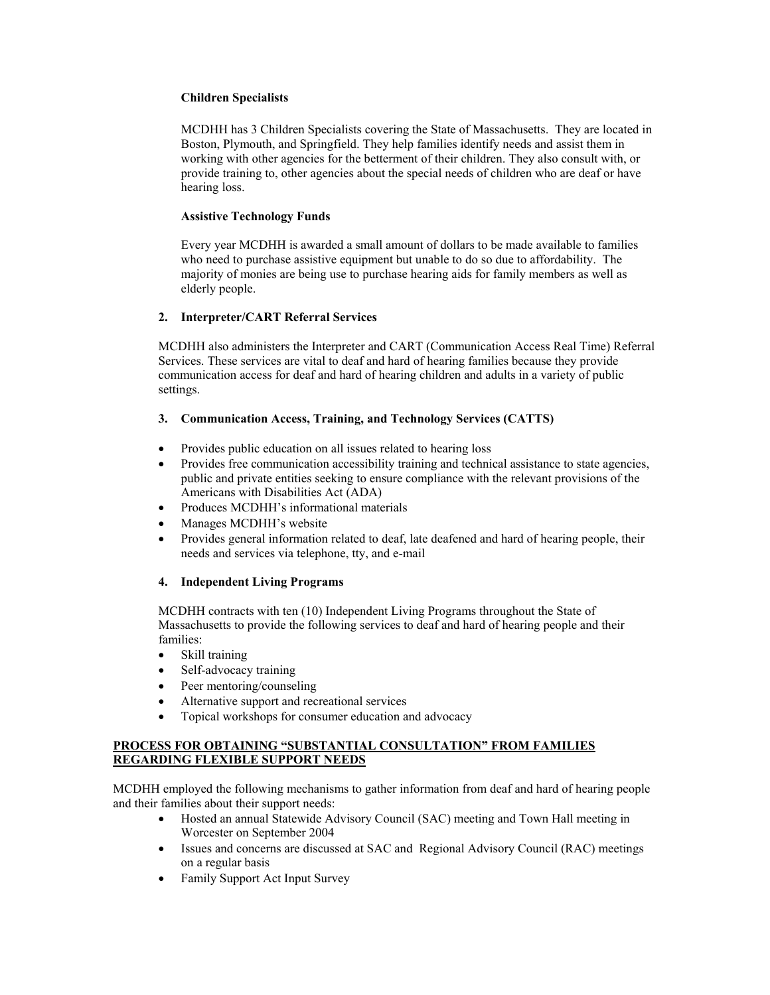## **Children Specialists**

MCDHH has 3 Children Specialists covering the State of Massachusetts. They are located in Boston, Plymouth, and Springfield. They help families identify needs and assist them in working with other agencies for the betterment of their children. They also consult with, or provide training to, other agencies about the special needs of children who are deaf or have hearing loss.

#### **Assistive Technology Funds**

Every year MCDHH is awarded a small amount of dollars to be made available to families who need to purchase assistive equipment but unable to do so due to affordability. The majority of monies are being use to purchase hearing aids for family members as well as elderly people.

## **2. Interpreter/CART Referral Services**

MCDHH also administers the Interpreter and CART (Communication Access Real Time) Referral Services. These services are vital to deaf and hard of hearing families because they provide communication access for deaf and hard of hearing children and adults in a variety of public settings.

## **3. Communication Access, Training, and Technology Services (CATTS)**

- Provides public education on all issues related to hearing loss
- Provides free communication accessibility training and technical assistance to state agencies, public and private entities seeking to ensure compliance with the relevant provisions of the Americans with Disabilities Act (ADA)
- Produces MCDHH's informational materials
- Manages MCDHH's website
- Provides general information related to deaf, late deafened and hard of hearing people, their needs and services via telephone, tty, and e-mail

## **4. Independent Living Programs**

MCDHH contracts with ten (10) Independent Living Programs throughout the State of Massachusetts to provide the following services to deaf and hard of hearing people and their families:

- Skill training
- Self-advocacy training
- Peer mentoring/counseling
- Alternative support and recreational services
- Topical workshops for consumer education and advocacy

## **PROCESS FOR OBTAINING "SUBSTANTIAL CONSULTATION" FROM FAMILIES REGARDING FLEXIBLE SUPPORT NEEDS**

MCDHH employed the following mechanisms to gather information from deaf and hard of hearing people and their families about their support needs:

- Hosted an annual Statewide Advisory Council (SAC) meeting and Town Hall meeting in Worcester on September 2004
- Issues and concerns are discussed at SAC and Regional Advisory Council (RAC) meetings on a regular basis
- Family Support Act Input Survey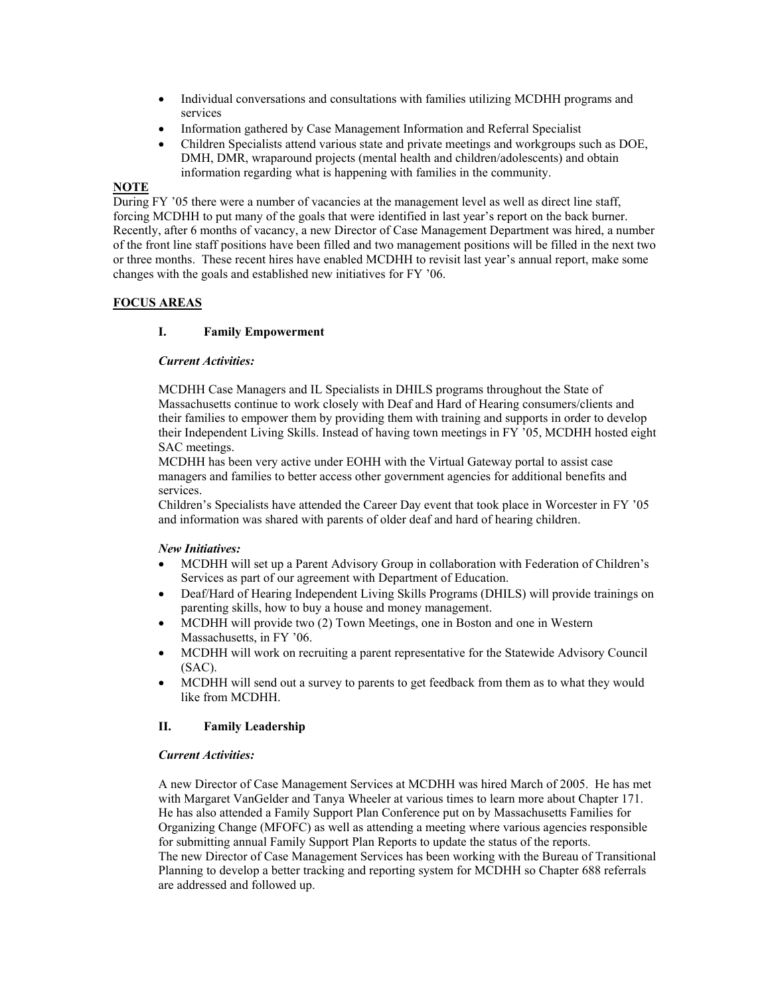- Individual conversations and consultations with families utilizing MCDHH programs and services
- Information gathered by Case Management Information and Referral Specialist
- Children Specialists attend various state and private meetings and workgroups such as DOE, DMH, DMR, wraparound projects (mental health and children/adolescents) and obtain information regarding what is happening with families in the community.

# **NOTE**

During FY '05 there were a number of vacancies at the management level as well as direct line staff, forcing MCDHH to put many of the goals that were identified in last year's report on the back burner. Recently, after 6 months of vacancy, a new Director of Case Management Department was hired, a number of the front line staff positions have been filled and two management positions will be filled in the next two or three months. These recent hires have enabled MCDHH to revisit last year's annual report, make some changes with the goals and established new initiatives for FY '06.

# **FOCUS AREAS**

# **I. Family Empowerment**

## *Current Activities:*

MCDHH Case Managers and IL Specialists in DHILS programs throughout the State of Massachusetts continue to work closely with Deaf and Hard of Hearing consumers/clients and their families to empower them by providing them with training and supports in order to develop their Independent Living Skills. Instead of having town meetings in FY '05, MCDHH hosted eight SAC meetings.

MCDHH has been very active under EOHH with the Virtual Gateway portal to assist case managers and families to better access other government agencies for additional benefits and services.

Children's Specialists have attended the Career Day event that took place in Worcester in FY '05 and information was shared with parents of older deaf and hard of hearing children.

## *New Initiatives:*

- MCDHH will set up a Parent Advisory Group in collaboration with Federation of Children's Services as part of our agreement with Department of Education.
- Deaf/Hard of Hearing Independent Living Skills Programs (DHILS) will provide trainings on parenting skills, how to buy a house and money management.
- MCDHH will provide two (2) Town Meetings, one in Boston and one in Western Massachusetts, in FY '06.
- MCDHH will work on recruiting a parent representative for the Statewide Advisory Council (SAC).
- MCDHH will send out a survey to parents to get feedback from them as to what they would like from MCDHH.

## **II. Family Leadership**

## *Current Activities:*

A new Director of Case Management Services at MCDHH was hired March of 2005. He has met with Margaret VanGelder and Tanya Wheeler at various times to learn more about Chapter 171. He has also attended a Family Support Plan Conference put on by Massachusetts Families for Organizing Change (MFOFC) as well as attending a meeting where various agencies responsible for submitting annual Family Support Plan Reports to update the status of the reports. The new Director of Case Management Services has been working with the Bureau of Transitional Planning to develop a better tracking and reporting system for MCDHH so Chapter 688 referrals are addressed and followed up.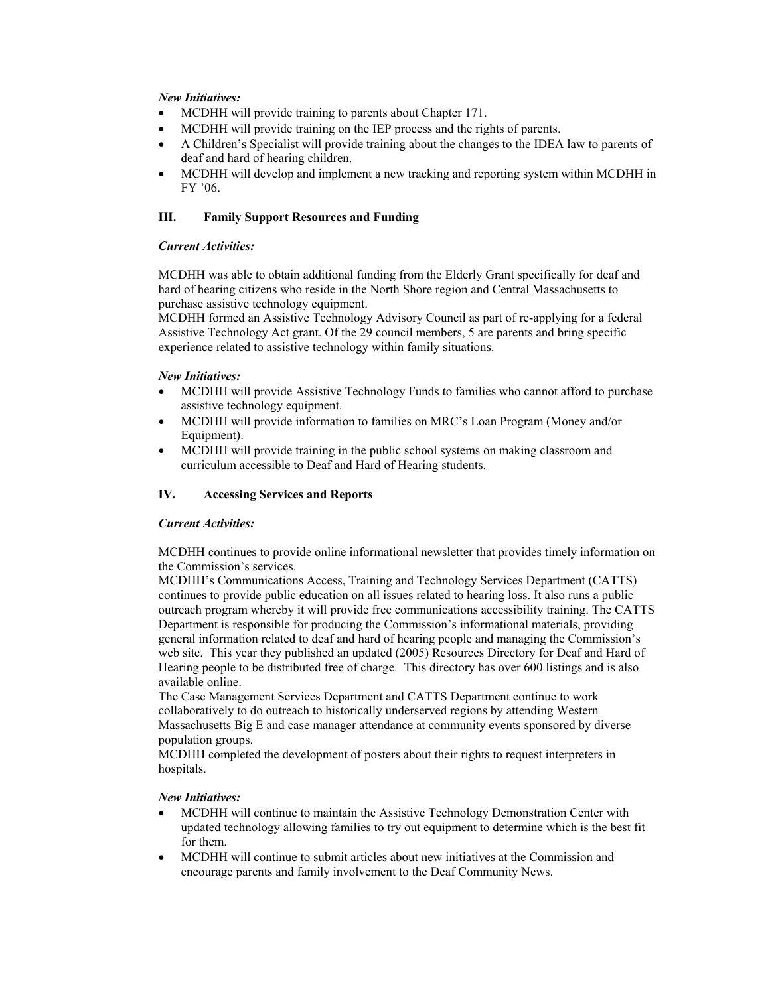## *New Initiatives:*

- MCDHH will provide training to parents about Chapter 171.
- MCDHH will provide training on the IEP process and the rights of parents.
- A Children's Specialist will provide training about the changes to the IDEA law to parents of deaf and hard of hearing children.
- MCDHH will develop and implement a new tracking and reporting system within MCDHH in FY '06.

## **III. Family Support Resources and Funding**

#### *Current Activities:*

MCDHH was able to obtain additional funding from the Elderly Grant specifically for deaf and hard of hearing citizens who reside in the North Shore region and Central Massachusetts to purchase assistive technology equipment.

MCDHH formed an Assistive Technology Advisory Council as part of re-applying for a federal Assistive Technology Act grant. Of the 29 council members, 5 are parents and bring specific experience related to assistive technology within family situations.

#### *New Initiatives:*

- MCDHH will provide Assistive Technology Funds to families who cannot afford to purchase assistive technology equipment.
- MCDHH will provide information to families on MRC's Loan Program (Money and/or Equipment).
- MCDHH will provide training in the public school systems on making classroom and curriculum accessible to Deaf and Hard of Hearing students.

## **IV. Accessing Services and Reports**

## *Current Activities:*

MCDHH continues to provide online informational newsletter that provides timely information on the Commission's services.

MCDHH's Communications Access, Training and Technology Services Department (CATTS) continues to provide public education on all issues related to hearing loss. It also runs a public outreach program whereby it will provide free communications accessibility training. The CATTS Department is responsible for producing the Commission's informational materials, providing general information related to deaf and hard of hearing people and managing the Commission's web site. This year they published an updated (2005) Resources Directory for Deaf and Hard of Hearing people to be distributed free of charge. This directory has over 600 listings and is also available online.

The Case Management Services Department and CATTS Department continue to work collaboratively to do outreach to historically underserved regions by attending Western Massachusetts Big E and case manager attendance at community events sponsored by diverse population groups.

MCDHH completed the development of posters about their rights to request interpreters in hospitals.

#### *New Initiatives:*

- MCDHH will continue to maintain the Assistive Technology Demonstration Center with updated technology allowing families to try out equipment to determine which is the best fit for them.
- MCDHH will continue to submit articles about new initiatives at the Commission and encourage parents and family involvement to the Deaf Community News.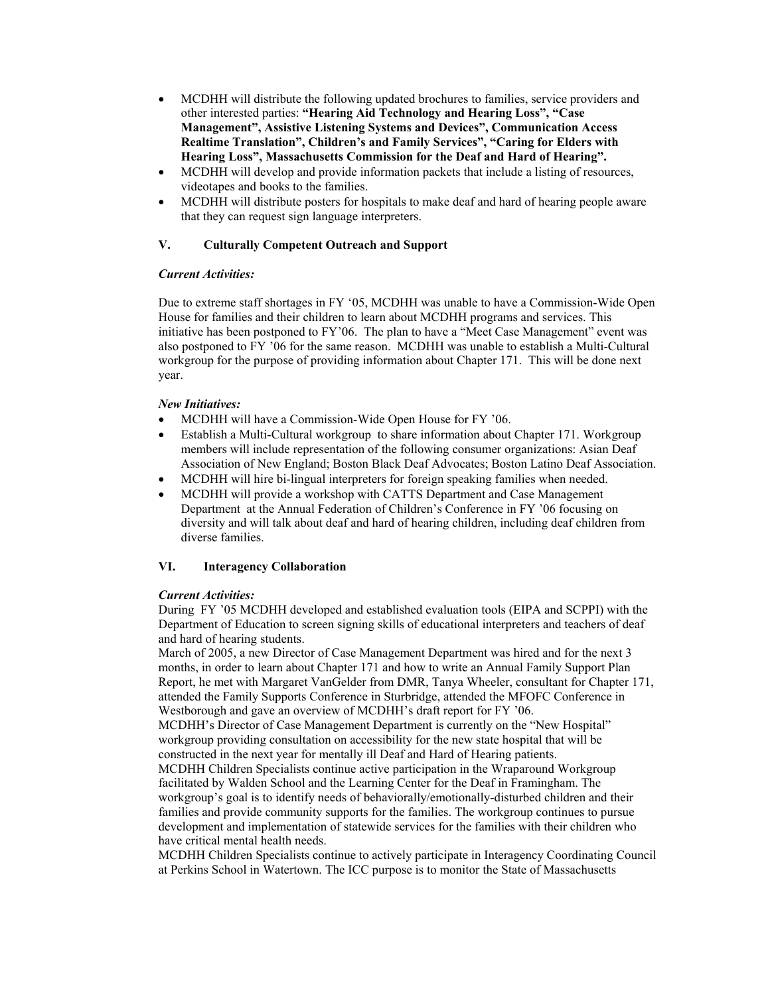- MCDHH will distribute the following updated brochures to families, service providers and other interested parties: **"Hearing Aid Technology and Hearing Loss", "Case Management", Assistive Listening Systems and Devices", Communication Access Realtime Translation", Children's and Family Services", "Caring for Elders with Hearing Loss", Massachusetts Commission for the Deaf and Hard of Hearing".**
- MCDHH will develop and provide information packets that include a listing of resources, videotapes and books to the families.
- MCDHH will distribute posters for hospitals to make deaf and hard of hearing people aware that they can request sign language interpreters.

## **V. Culturally Competent Outreach and Support**

## *Current Activities:*

Due to extreme staff shortages in FY '05, MCDHH was unable to have a Commission-Wide Open House for families and their children to learn about MCDHH programs and services. This initiative has been postponed to FY'06. The plan to have a "Meet Case Management" event was also postponed to FY '06 for the same reason. MCDHH was unable to establish a Multi-Cultural workgroup for the purpose of providing information about Chapter 171. This will be done next year.

#### *New Initiatives:*

- MCDHH will have a Commission-Wide Open House for FY '06.
- Establish a Multi-Cultural workgroup to share information about Chapter 171. Workgroup members will include representation of the following consumer organizations: Asian Deaf Association of New England; Boston Black Deaf Advocates; Boston Latino Deaf Association.
- MCDHH will hire bi-lingual interpreters for foreign speaking families when needed.
- MCDHH will provide a workshop with CATTS Department and Case Management Department at the Annual Federation of Children's Conference in FY '06 focusing on diversity and will talk about deaf and hard of hearing children, including deaf children from diverse families.

## **VI. Interagency Collaboration**

## *Current Activities:*

During FY '05 MCDHH developed and established evaluation tools (EIPA and SCPPI) with the Department of Education to screen signing skills of educational interpreters and teachers of deaf and hard of hearing students.

March of 2005, a new Director of Case Management Department was hired and for the next 3 months, in order to learn about Chapter 171 and how to write an Annual Family Support Plan Report, he met with Margaret VanGelder from DMR, Tanya Wheeler, consultant for Chapter 171, attended the Family Supports Conference in Sturbridge, attended the MFOFC Conference in Westborough and gave an overview of MCDHH's draft report for FY '06.

MCDHH's Director of Case Management Department is currently on the "New Hospital" workgroup providing consultation on accessibility for the new state hospital that will be constructed in the next year for mentally ill Deaf and Hard of Hearing patients.

MCDHH Children Specialists continue active participation in the Wraparound Workgroup facilitated by Walden School and the Learning Center for the Deaf in Framingham. The workgroup's goal is to identify needs of behaviorally/emotionally-disturbed children and their families and provide community supports for the families. The workgroup continues to pursue development and implementation of statewide services for the families with their children who have critical mental health needs.

MCDHH Children Specialists continue to actively participate in Interagency Coordinating Council at Perkins School in Watertown. The ICC purpose is to monitor the State of Massachusetts